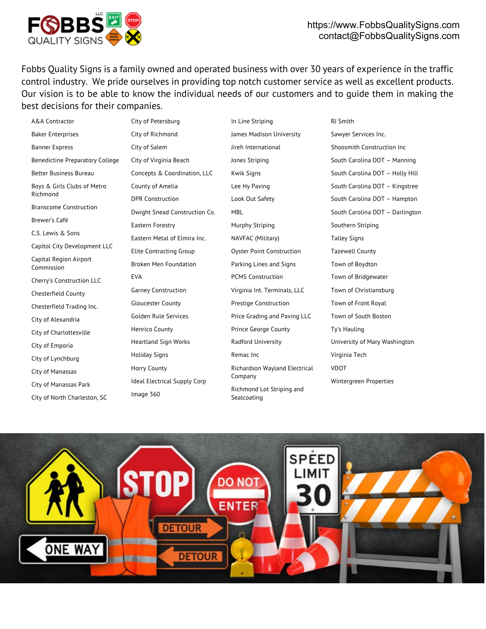

Fobbs Quality Signs is a family owned and operated business with over 30 years of experience in the traffic control industry. We pride ourselves in providing top notch customer service as well as excellent products. Our vision is to be able to know the individual needs of our customers and to guide them in making the best decisions for their companies.

A&A Contractor Baker Enterprises Banner Express Benedictine Preparatory College Better Business Bureau Boys & Girls Clubs of Metro Richmond Branscome Construction Brewer's Café C.S. Lewis & Sons Capitol City Development LLC Capital Region Airport Commission Cherry's Construction LLC Chesterfield County Chesterfield Trading Inc. City of Alexandria City of Charlottesville City of Emporia City of Lynchburg City of Manassas City of Manassas Park City of North Charleston, SC City of Petersburg City of Salem EVA Holiday Signs Horry County Image 360

City of Richmond City of Virginia Beach Concepts & Coordination, LLC County of Amelia DPR Construction Dwight Snead Construction Co. Eastern Forestry Eastern Metal of Elmira Inc. Elite Contracting Group Broken Men Foundation Garney Construction Gloucester County Golden Rule Services Henrico County Heartland Sign Works Ideal Electrical Supply Corp

In Line Striping James Madison University Jireh International Jones Striping Kwik Signs Lee Hy Paving Look Out Safety MBL Murphy Striping NAVFAC (Military) Oyster Point Construction Parking Lines and Signs PCMS Construction Virginia Int. Terminals, LLC Prestige Construction Price Grading and Paving LLC Prince George County Radford University Remac Inc Richardson Wayland Electrical Company Richmond Lot Striping and Sealcoating

RJ Smith Sawyer Services Inc. Shoosmith Construction Inc South Carolina DOT – Manning South Carolina DOT – Holly Hill South Carolina DOT – Kingstree South Carolina DOT – Hampton South Carolina DOT – Darlington Southern Striping Talley Signs Tazewell County Town of Boydton Town of Bridgewater Town of Christiansburg Town of Front Royal Town of South Boston Ty's Hauling University of Mary Washington Virginia Tech VDOT Wintergreen Properties